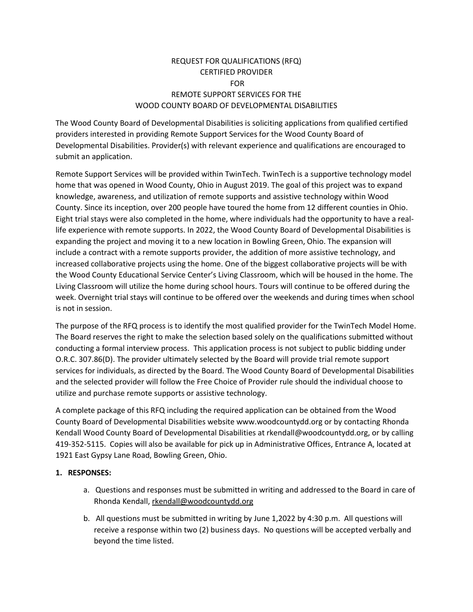# REQUEST FOR QUALIFICATIONS (RFQ) CERTIFIED PROVIDER FOR REMOTE SUPPORT SERVICES FOR THE WOOD COUNTY BOARD OF DEVELOPMENTAL DISABILITIES

The Wood County Board of Developmental Disabilities is soliciting applications from qualified certified providers interested in providing Remote Support Services for the Wood County Board of Developmental Disabilities. Provider(s) with relevant experience and qualifications are encouraged to submit an application.

Remote Support Services will be provided within TwinTech. TwinTech is a supportive technology model home that was opened in Wood County, Ohio in August 2019. The goal of this project was to expand knowledge, awareness, and utilization of remote supports and assistive technology within Wood County. Since its inception, over 200 people have toured the home from 12 different counties in Ohio. Eight trial stays were also completed in the home, where individuals had the opportunity to have a reallife experience with remote supports. In 2022, the Wood County Board of Developmental Disabilities is expanding the project and moving it to a new location in Bowling Green, Ohio. The expansion will include a contract with a remote supports provider, the addition of more assistive technology, and increased collaborative projects using the home. One of the biggest collaborative projects will be with the Wood County Educational Service Center's Living Classroom, which will be housed in the home. The Living Classroom will utilize the home during school hours. Tours will continue to be offered during the week. Overnight trial stays will continue to be offered over the weekends and during times when school is not in session.

The purpose of the RFQ process is to identify the most qualified provider for the TwinTech Model Home. The Board reserves the right to make the selection based solely on the qualifications submitted without conducting a formal interview process. This application process is not subject to public bidding under O.R.C. 307.86(D). The provider ultimately selected by the Board will provide trial remote support services for individuals, as directed by the Board. The Wood County Board of Developmental Disabilities and the selected provider will follow the Free Choice of Provider rule should the individual choose to utilize and purchase remote supports or assistive technology.

A complete package of this RFQ including the required application can be obtained from the Wood County Board of Developmental Disabilities website www.woodcountydd.org or by contacting Rhonda Kendall Wood County Board of Developmental Disabilities at rkendall@woodcountydd.org, or by calling 419-352-5115. Copies will also be available for pick up in Administrative Offices, Entrance A, located at 1921 East Gypsy Lane Road, Bowling Green, Ohio.

#### **1. RESPONSES:**

- a. Questions and responses must be submitted in writing and addressed to the Board in care of Rhonda Kendall[, rkendall@woodcountydd.org](mailto:rkendall@woodcountydd.org)
- b. All questions must be submitted in writing by June 1,2022 by 4:30 p.m. All questions will receive a response within two (2) business days. No questions will be accepted verbally and beyond the time listed.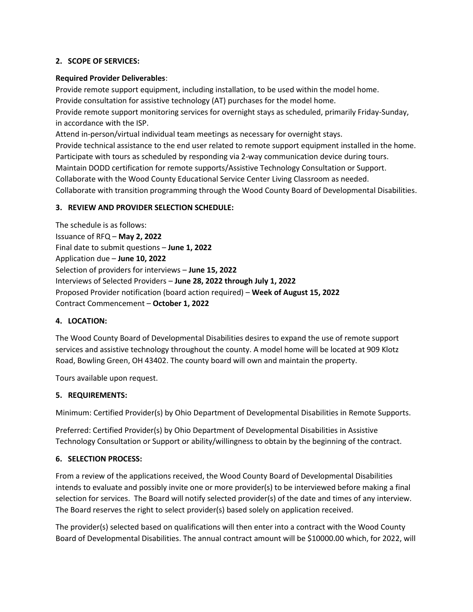#### **2. SCOPE OF SERVICES:**

#### **Required Provider Deliverables**:

Provide remote support equipment, including installation, to be used within the model home. Provide consultation for assistive technology (AT) purchases for the model home. Provide remote support monitoring services for overnight stays as scheduled, primarily Friday-Sunday, in accordance with the ISP. Attend in-person/virtual individual team meetings as necessary for overnight stays.

Provide technical assistance to the end user related to remote support equipment installed in the home. Participate with tours as scheduled by responding via 2-way communication device during tours. Maintain DODD certification for remote supports/Assistive Technology Consultation or Support. Collaborate with the Wood County Educational Service Center Living Classroom as needed. Collaborate with transition programming through the Wood County Board of Developmental Disabilities.

## **3. REVIEW AND PROVIDER SELECTION SCHEDULE:**

The schedule is as follows: Issuance of RFQ – **May 2, 2022** Final date to submit questions – **June 1, 2022** Application due – **June 10, 2022** Selection of providers for interviews – **June 15, 2022** Interviews of Selected Providers – **June 28, 2022 through July 1, 2022** Proposed Provider notification (board action required) – **Week of August 15, 2022** Contract Commencement – **October 1, 2022**

## **4. LOCATION:**

The Wood County Board of Developmental Disabilities desires to expand the use of remote support services and assistive technology throughout the county. A model home will be located at 909 Klotz Road, Bowling Green, OH 43402. The county board will own and maintain the property.

Tours available upon request.

## **5. REQUIREMENTS:**

Minimum: Certified Provider(s) by Ohio Department of Developmental Disabilities in Remote Supports.

Preferred: Certified Provider(s) by Ohio Department of Developmental Disabilities in Assistive Technology Consultation or Support or ability/willingness to obtain by the beginning of the contract.

## **6. SELECTION PROCESS:**

From a review of the applications received, the Wood County Board of Developmental Disabilities intends to evaluate and possibly invite one or more provider(s) to be interviewed before making a final selection for services. The Board will notify selected provider(s) of the date and times of any interview. The Board reserves the right to select provider(s) based solely on application received.

The provider(s) selected based on qualifications will then enter into a contract with the Wood County Board of Developmental Disabilities. The annual contract amount will be \$10000.00 which, for 2022, will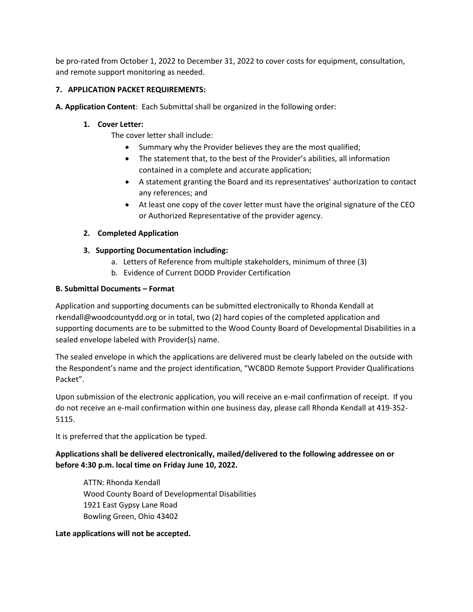be pro-rated from October 1, 2022 to December 31, 2022 to cover costs for equipment, consultation, and remote support monitoring as needed.

## **7. APPLICATION PACKET REQUIREMENTS:**

**A. Application Content**: Each Submittal shall be organized in the following order:

## **1. Cover Letter:**

The cover letter shall include:

- Summary why the Provider believes they are the most qualified;
- The statement that, to the best of the Provider's abilities, all information contained in a complete and accurate application;
- A statement granting the Board and its representatives' authorization to contact any references; and
- At least one copy of the cover letter must have the original signature of the CEO or Authorized Representative of the provider agency.

# **2. Completed Application**

# **3. Supporting Documentation including:**

- a. Letters of Reference from multiple stakeholders, minimum of three (3)
- b. Evidence of Current DODD Provider Certification

## **B. Submittal Documents – Format**

Application and supporting documents can be submitted electronically to Rhonda Kendall at rkendall@woodcountydd.org or in total, two (2) hard copies of the completed application and supporting documents are to be submitted to the Wood County Board of Developmental Disabilities in a sealed envelope labeled with Provider(s) name.

The sealed envelope in which the applications are delivered must be clearly labeled on the outside with the Respondent's name and the project identification, "WCBDD Remote Support Provider Qualifications Packet".

Upon submission of the electronic application, you will receive an e-mail confirmation of receipt. If you do not receive an e-mail confirmation within one business day, please call Rhonda Kendall at 419-352- 5115.

It is preferred that the application be typed.

# **Applications shall be delivered electronically, mailed/delivered to the following addressee on or before 4:30 p.m. local time on Friday June 10, 2022.**

ATTN: Rhonda Kendall Wood County Board of Developmental Disabilities 1921 East Gypsy Lane Road Bowling Green, Ohio 43402

**Late applications will not be accepted.**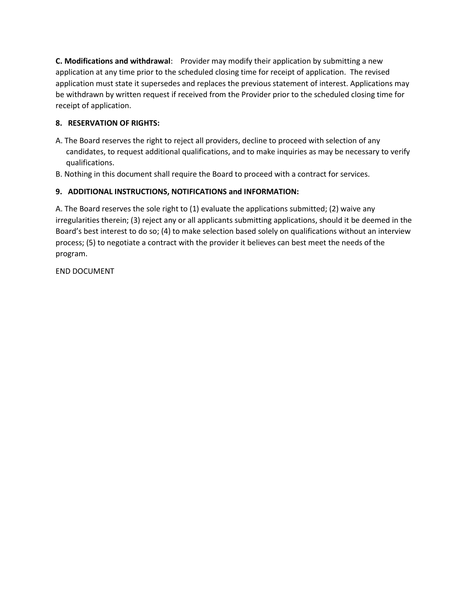**C.** Modifications and withdrawal: Provider may modify their application by submitting a new application at any time prior to the scheduled closing time for receipt of application. The revised application must state it supersedes and replaces the previous statement of interest. Applications may be withdrawn by written request if received from the Provider prior to the scheduled closing time for receipt of application.

# **8. RESERVATION OF RIGHTS:**

- A. The Board reserves the right to reject all providers, decline to proceed with selection of any candidates, to request additional qualifications, and to make inquiries as may be necessary to verify qualifications.
- B. Nothing in this document shall require the Board to proceed with a contract for services.

# **9. ADDITIONAL INSTRUCTIONS, NOTIFICATIONS and INFORMATION:**

A. The Board reserves the sole right to (1) evaluate the applications submitted; (2) waive any irregularities therein; (3) reject any or all applicants submitting applications, should it be deemed in the Board's best interest to do so; (4) to make selection based solely on qualifications without an interview process; (5) to negotiate a contract with the provider it believes can best meet the needs of the program.

END DOCUMENT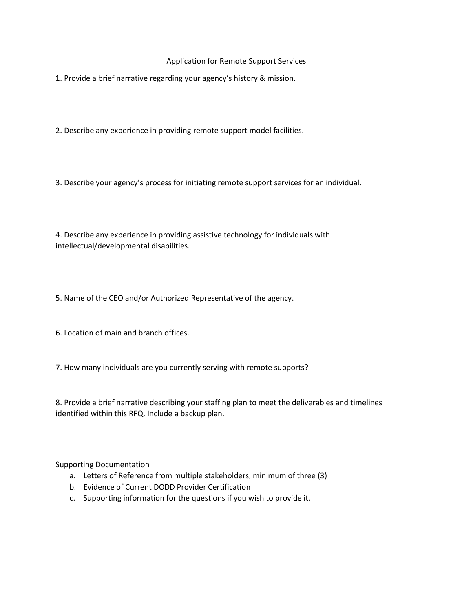#### Application for Remote Support Services

1. Provide a brief narrative regarding your agency's history & mission.

2. Describe any experience in providing remote support model facilities.

3. Describe your agency's process for initiating remote support services for an individual.

4. Describe any experience in providing assistive technology for individuals with intellectual/developmental disabilities.

5. Name of the CEO and/or Authorized Representative of the agency.

6. Location of main and branch offices.

7. How many individuals are you currently serving with remote supports?

8. Provide a brief narrative describing your staffing plan to meet the deliverables and timelines identified within this RFQ. Include a backup plan.

Supporting Documentation

- a. Letters of Reference from multiple stakeholders, minimum of three (3)
- b. Evidence of Current DODD Provider Certification
- c. Supporting information for the questions if you wish to provide it.